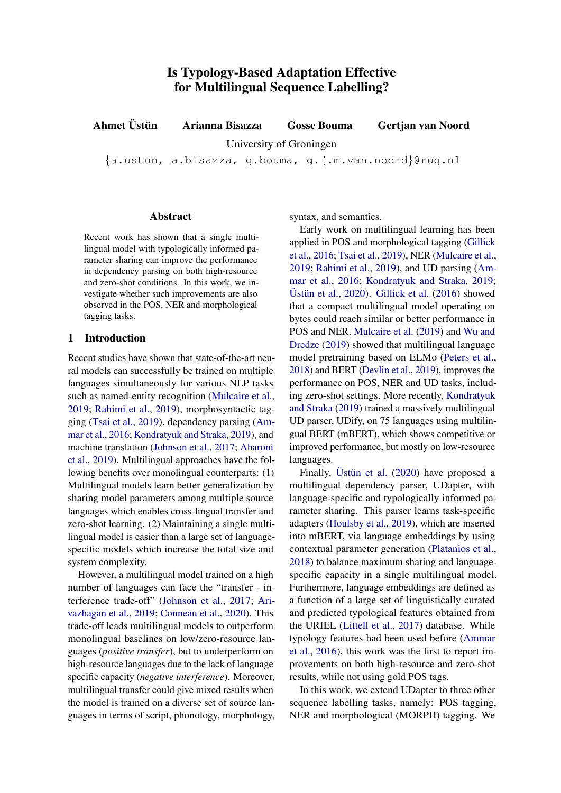Ahmet Ust ¨ un Arianna Bisazza Gosse Bouma Gertjan van Noord ¨

University of Groningen

{a.ustun, a.bisazza, g.bouma, g.j.m.van.noord}@rug.nl

### Abstract

Recent work has shown that a single multilingual model with typologically informed parameter sharing can improve the performance in dependency parsing on both high-resource and zero-shot conditions. In this work, we investigate whether such improvements are also observed in the POS, NER and morphological tagging tasks.

# 1 Introduction

Recent studies have shown that state-of-the-art neural models can successfully be trained on multiple languages simultaneously for various NLP tasks such as named-entity recognition [\(Mulcaire et al.,](#page-2-0) [2019;](#page-2-0) [Rahimi et al.,](#page-3-0) [2019\)](#page-3-0), morphosyntactic tagging [\(Tsai et al.,](#page-3-1) [2019\)](#page-3-1), dependency parsing [\(Am](#page-2-1)[mar et al.,](#page-2-1) [2016;](#page-2-1) [Kondratyuk and Straka,](#page-2-2) [2019\)](#page-2-2), and machine translation [\(Johnson et al.,](#page-2-3) [2017;](#page-2-3) [Aharoni](#page-2-4) [et al.,](#page-2-4) [2019\)](#page-2-4). Multilingual approaches have the following benefits over monolingual counterparts: (1) Multilingual models learn better generalization by sharing model parameters among multiple source languages which enables cross-lingual transfer and zero-shot learning. (2) Maintaining a single multilingual model is easier than a large set of languagespecific models which increase the total size and system complexity.

However, a multilingual model trained on a high number of languages can face the "transfer - interference trade-off" [\(Johnson et al.,](#page-2-3) [2017;](#page-2-3) [Ari](#page-2-5)[vazhagan et al.,](#page-2-5) [2019;](#page-2-5) [Conneau et al.,](#page-2-6) [2020\)](#page-2-6). This trade-off leads multilingual models to outperform monolingual baselines on low/zero-resource languages (*positive transfer*), but to underperform on high-resource languages due to the lack of language specific capacity (*negative interference*). Moreover, multilingual transfer could give mixed results when the model is trained on a diverse set of source languages in terms of script, phonology, morphology, syntax, and semantics.

Early work on multilingual learning has been applied in POS and morphological tagging [\(Gillick](#page-2-7) [et al.,](#page-2-7) [2016;](#page-2-7) [Tsai et al.,](#page-3-1) [2019\)](#page-3-1), NER [\(Mulcaire et al.,](#page-2-0) [2019;](#page-2-0) [Rahimi et al.,](#page-3-0) [2019\)](#page-3-0), and UD parsing [\(Am](#page-2-1)[mar et al.,](#page-2-1) [2016;](#page-2-1) [Kondratyuk and Straka,](#page-2-2) [2019;](#page-2-2) Üstün et al.,  $2020$ ). [Gillick et al.](#page-2-7)  $(2016)$  showed that a compact multilingual model operating on bytes could reach similar or better performance in POS and NER. [Mulcaire et al.](#page-2-0) [\(2019\)](#page-2-0) and [Wu and](#page-3-3) [Dredze](#page-3-3) [\(2019\)](#page-3-3) showed that multilingual language model pretraining based on ELMo [\(Peters et al.,](#page-3-4) [2018\)](#page-3-4) and BERT [\(Devlin et al.,](#page-2-8) [2019\)](#page-2-8), improves the performance on POS, NER and UD tasks, including zero-shot settings. More recently, [Kondratyuk](#page-2-2) [and Straka](#page-2-2) [\(2019\)](#page-2-2) trained a massively multilingual UD parser, UDify, on 75 languages using multilingual BERT (mBERT), which shows competitive or improved performance, but mostly on low-resource languages.

Finally, Üstün et al.  $(2020)$  have proposed a multilingual dependency parser, UDapter, with language-specific and typologically informed parameter sharing. This parser learns task-specific adapters [\(Houlsby et al.,](#page-2-9) [2019\)](#page-2-9), which are inserted into mBERT, via language embeddings by using contextual parameter generation [\(Platanios et al.,](#page-3-5) [2018\)](#page-3-5) to balance maximum sharing and languagespecific capacity in a single multilingual model. Furthermore, language embeddings are defined as a function of a large set of linguistically curated and predicted typological features obtained from the URIEL [\(Littell et al.,](#page-2-10) [2017\)](#page-2-10) database. While typology features had been used before [\(Ammar](#page-2-1) [et al.,](#page-2-1) [2016\)](#page-2-1), this work was the first to report improvements on both high-resource and zero-shot results, while not using gold POS tags.

In this work, we extend UDapter to three other sequence labelling tasks, namely: POS tagging, NER and morphological (MORPH) tagging. We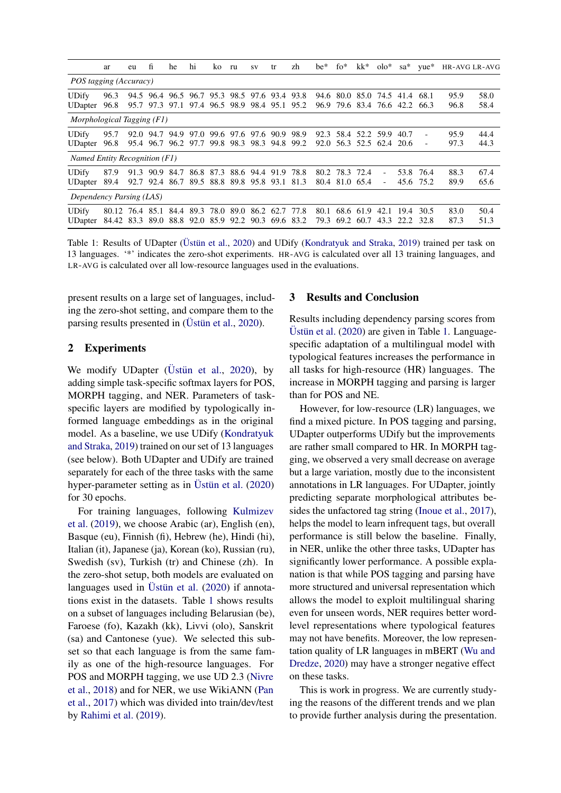<span id="page-1-0"></span>

|                                | ar                                                                              | eu   | fi   | he                                         | hi   | ko   | ru                                                             | SV | tr             | zh           | be*          | $fo*$                       | kk*               | $olo^*$                                         | $sa*$        | yue*                   | <b>HR-AVG LR-AVG</b> |              |
|--------------------------------|---------------------------------------------------------------------------------|------|------|--------------------------------------------|------|------|----------------------------------------------------------------|----|----------------|--------------|--------------|-----------------------------|-------------------|-------------------------------------------------|--------------|------------------------|----------------------|--------------|
| POS tagging (Accuracy)         |                                                                                 |      |      |                                            |      |      |                                                                |    |                |              |              |                             |                   |                                                 |              |                        |                      |              |
| <b>UDify</b><br><b>UDapter</b> | 96.3<br>96.8                                                                    |      |      | 94.5 96.4 96.5 96.7<br>95.7 97.3 97.1      |      | 95.3 | 97.4 96.5 98.9 98.4 95.1                                       |    | 98.5 97.6 93.4 | 93.8<br>95.2 | 94.6<br>96.9 |                             | 80.0 85.0         | 74.5<br>79.6 83.4 76.6 42.2                     | 41.4         | 68.1<br>-66.3          | 95.9<br>96.8         | 58.0<br>58.4 |
| Morphological Tagging (F1)     |                                                                                 |      |      |                                            |      |      |                                                                |    |                |              |              |                             |                   |                                                 |              |                        |                      |              |
| <b>UDify</b><br><b>UDapter</b> | 95.7<br>96.8                                                                    |      |      | 92.0 94.7 94.9 97.0<br>95.4 96.7 96.2 97.7 |      |      | 99.6 97.6 97.6 90.9<br>99.8 98.3 98.3 94.8                     |    |                | 98.9<br>99.2 |              |                             |                   | 92.3 58.4 52.2 59.9<br>92.0 56.3 52.5 62.4 20.6 | 40.7         | -                      | 95.9<br>97.3         | 44.4<br>44.3 |
| Named Entity Recognition (F1)  |                                                                                 |      |      |                                            |      |      |                                                                |    |                |              |              |                             |                   |                                                 |              |                        |                      |              |
| <b>UDify</b><br><b>UDapter</b> | 87.9<br>89.4                                                                    | 91.3 | 90.9 | 84.7                                       | 86.8 |      | 87.3 88.6 94.4 91.9<br>92.7 92.4 86.7 89.5 88.8 89.8 95.8 93.1 |    |                | 78.8<br>81.3 | 80.2         | 78.3 72.4<br>80.4 81.0 65.4 |                   |                                                 |              | 53.8 76.4<br>45.6 75.2 | 88.3<br>89.9         | 67.4<br>65.6 |
| Dependency Parsing (LAS)       |                                                                                 |      |      |                                            |      |      |                                                                |    |                |              |              |                             |                   |                                                 |              |                        |                      |              |
| <b>UDify</b><br><b>UDapter</b> | 80.12 76.4 85.1 84.4 89.3 78.0 89.0 86.2 62.7 77.8<br>84.42 83.3 89.0 88.8 92.0 |      |      |                                            |      |      | 85.9 92.2 90.3                                                 |    |                | 69.6 83.2    | 80.1<br>79.3 | 69.2                        | 68.6 61.9<br>60.7 | 42.1<br>43.3                                    | 19.4<br>22.2 | 30.5<br>-32.8          | 83.0<br>87.3         | 50.4<br>51.3 |

Table 1: Results of UDapter (Ustün et al., [2020\)](#page-3-2) and UDify [\(Kondratyuk and Straka,](#page-2-2) [2019\)](#page-2-2) trained per task on 13 languages. '\*' indicates the zero-shot experiments. HR-AVG is calculated over all 13 training languages, and LR-AVG is calculated over all low-resource languages used in the evaluations.

present results on a large set of languages, including the zero-shot setting, and compare them to the parsing results presented in ( $\ddot{\text{U}}$ stiin et al., [2020\)](#page-3-2).

## 2 Experiments

We modify UDapter (Üstün et al., [2020\)](#page-3-2), by adding simple task-specific softmax layers for POS, MORPH tagging, and NER. Parameters of taskspecific layers are modified by typologically informed language embeddings as in the original model. As a baseline, we use UDify [\(Kondratyuk](#page-2-2) [and Straka,](#page-2-2) [2019\)](#page-2-2) trained on our set of 13 languages (see below). Both UDapter and UDify are trained separately for each of the three tasks with the same hyper-parameter setting as in Üstün et al.  $(2020)$ for 30 epochs.

For training languages, following [Kulmizev](#page-2-11) [et al.](#page-2-11) [\(2019\)](#page-2-11), we choose Arabic (ar), English (en), Basque (eu), Finnish (fi), Hebrew (he), Hindi (hi), Italian (it), Japanese (ja), Korean (ko), Russian (ru), Swedish (sv), Turkish (tr) and Chinese (zh). In the zero-shot setup, both models are evaluated on languages used in Üstün et al.  $(2020)$  if annotations exist in the datasets. Table [1](#page-1-0) shows results on a subset of languages including Belarusian (be), Faroese (fo), Kazakh (kk), Livvi (olo), Sanskrit (sa) and Cantonese (yue). We selected this subset so that each language is from the same family as one of the high-resource languages. For POS and MORPH tagging, we use UD 2.3 [\(Nivre](#page-2-12) [et al.,](#page-2-12) [2018\)](#page-2-12) and for NER, we use WikiANN [\(Pan](#page-3-6) [et al.,](#page-3-6) [2017\)](#page-3-6) which was divided into train/dev/test by [Rahimi et al.](#page-3-0) [\(2019\)](#page-3-0).

## 3 Results and Conclusion

Results including dependency parsing scores from Üstün et al.  $(2020)$  are given in Table [1.](#page-1-0) Languagespecific adaptation of a multilingual model with typological features increases the performance in all tasks for high-resource (HR) languages. The increase in MORPH tagging and parsing is larger than for POS and NE.

However, for low-resource (LR) languages, we find a mixed picture. In POS tagging and parsing, UDapter outperforms UDify but the improvements are rather small compared to HR. In MORPH tagging, we observed a very small decrease on average but a large variation, mostly due to the inconsistent annotations in LR languages. For UDapter, jointly predicting separate morphological attributes besides the unfactored tag string [\(Inoue et al.,](#page-2-13) [2017\)](#page-2-13), helps the model to learn infrequent tags, but overall performance is still below the baseline. Finally, in NER, unlike the other three tasks, UDapter has significantly lower performance. A possible explanation is that while POS tagging and parsing have more structured and universal representation which allows the model to exploit multilingual sharing even for unseen words, NER requires better wordlevel representations where typological features may not have benefits. Moreover, the low representation quality of LR languages in mBERT [\(Wu and](#page-4-0) [Dredze,](#page-4-0) [2020\)](#page-4-0) may have a stronger negative effect on these tasks.

This is work in progress. We are currently studying the reasons of the different trends and we plan to provide further analysis during the presentation.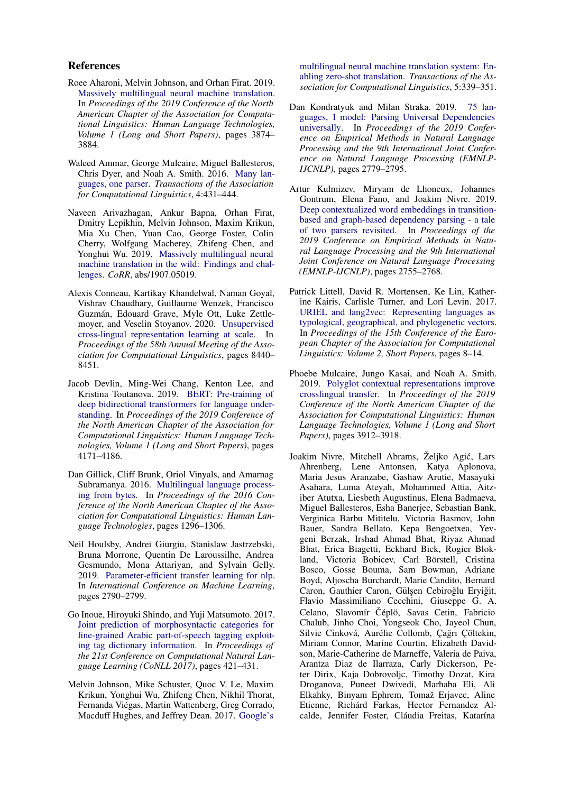#### References

- <span id="page-2-4"></span>Roee Aharoni, Melvin Johnson, and Orhan Firat. 2019. [Massively multilingual neural machine translation.](https://doi.org/10.18653/v1/N19-1388) In *Proceedings of the 2019 Conference of the North American Chapter of the Association for Computational Linguistics: Human Language Technologies, Volume 1 (Long and Short Papers)*, pages 3874– 3884.
- <span id="page-2-1"></span>Waleed Ammar, George Mulcaire, Miguel Ballesteros, Chris Dyer, and Noah A. Smith. 2016. [Many lan](https://doi.org/10.1162/tacl_a_00109)[guages, one parser.](https://doi.org/10.1162/tacl_a_00109) *Transactions of the Association for Computational Linguistics*, 4:431–444.
- <span id="page-2-5"></span>Naveen Arivazhagan, Ankur Bapna, Orhan Firat, Dmitry Lepikhin, Melvin Johnson, Maxim Krikun, Mia Xu Chen, Yuan Cao, George Foster, Colin Cherry, Wolfgang Macherey, Zhifeng Chen, and Yonghui Wu. 2019. [Massively multilingual neural](http://arxiv.org/abs/1907.05019) [machine translation in the wild: Findings and chal](http://arxiv.org/abs/1907.05019)[lenges.](http://arxiv.org/abs/1907.05019) *CoRR*, abs/1907.05019.
- <span id="page-2-6"></span>Alexis Conneau, Kartikay Khandelwal, Naman Goyal, Vishrav Chaudhary, Guillaume Wenzek, Francisco Guzmán, Edouard Grave, Myle Ott, Luke Zettlemoyer, and Veselin Stoyanov. 2020. [Unsupervised](https://doi.org/10.18653/v1/2020.acl-main.747) [cross-lingual representation learning at scale.](https://doi.org/10.18653/v1/2020.acl-main.747) In *Proceedings of the 58th Annual Meeting of the Association for Computational Linguistics*, pages 8440– 8451.
- <span id="page-2-8"></span>Jacob Devlin, Ming-Wei Chang, Kenton Lee, and Kristina Toutanova. 2019. [BERT: Pre-training of](https://doi.org/10.18653/v1/N19-1423) [deep bidirectional transformers for language under](https://doi.org/10.18653/v1/N19-1423)[standing.](https://doi.org/10.18653/v1/N19-1423) In *Proceedings of the 2019 Conference of the North American Chapter of the Association for Computational Linguistics: Human Language Technologies, Volume 1 (Long and Short Papers)*, pages 4171–4186.
- <span id="page-2-7"></span>Dan Gillick, Cliff Brunk, Oriol Vinyals, and Amarnag Subramanya. 2016. [Multilingual language process](https://doi.org/10.18653/v1/N16-1155)[ing from bytes.](https://doi.org/10.18653/v1/N16-1155) In *Proceedings of the 2016 Conference of the North American Chapter of the Association for Computational Linguistics: Human Language Technologies*, pages 1296–1306.
- <span id="page-2-9"></span>Neil Houlsby, Andrei Giurgiu, Stanislaw Jastrzebski, Bruna Morrone, Quentin De Laroussilhe, Andrea Gesmundo, Mona Attariyan, and Sylvain Gelly. 2019. [Parameter-efficient transfer learning for nlp.](https://openreview.net/forum?id=H1NjknZO-H) In *International Conference on Machine Learning*, pages 2790–2799.
- <span id="page-2-13"></span>Go Inoue, Hiroyuki Shindo, and Yuji Matsumoto. 2017. [Joint prediction of morphosyntactic categories for](https://doi.org/10.18653/v1/K17-1042) [fine-grained Arabic part-of-speech tagging exploit](https://doi.org/10.18653/v1/K17-1042)[ing tag dictionary information.](https://doi.org/10.18653/v1/K17-1042) In *Proceedings of the 21st Conference on Computational Natural Language Learning (CoNLL 2017)*, pages 421–431.
- <span id="page-2-3"></span>Melvin Johnson, Mike Schuster, Quoc V. Le, Maxim Krikun, Yonghui Wu, Zhifeng Chen, Nikhil Thorat, Fernanda Viegas, Martin Wattenberg, Greg Corrado, ´ Macduff Hughes, and Jeffrey Dean. 2017. [Google's](https://doi.org/10.1162/tacl_a_00065)

[multilingual neural machine translation system: En](https://doi.org/10.1162/tacl_a_00065)[abling zero-shot translation.](https://doi.org/10.1162/tacl_a_00065) *Transactions of the Association for Computational Linguistics*, 5:339–351.

- <span id="page-2-2"></span>Dan Kondratyuk and Milan Straka. 2019. [75 lan](https://doi.org/10.18653/v1/D19-1279)[guages, 1 model: Parsing Universal Dependencies](https://doi.org/10.18653/v1/D19-1279) [universally.](https://doi.org/10.18653/v1/D19-1279) In *Proceedings of the 2019 Conference on Empirical Methods in Natural Language Processing and the 9th International Joint Conference on Natural Language Processing (EMNLP-IJCNLP)*, pages 2779–2795.
- <span id="page-2-11"></span>Artur Kulmizev, Miryam de Lhoneux, Johannes Gontrum, Elena Fano, and Joakim Nivre. 2019. [Deep contextualized word embeddings in transition](https://doi.org/10.18653/v1/D19-1277)[based and graph-based dependency parsing - a tale](https://doi.org/10.18653/v1/D19-1277) [of two parsers revisited.](https://doi.org/10.18653/v1/D19-1277) In *Proceedings of the 2019 Conference on Empirical Methods in Natural Language Processing and the 9th International Joint Conference on Natural Language Processing (EMNLP-IJCNLP)*, pages 2755–2768.
- <span id="page-2-10"></span>Patrick Littell, David R. Mortensen, Ke Lin, Katherine Kairis, Carlisle Turner, and Lori Levin. 2017. [URIEL and lang2vec: Representing languages as](https://www.aclweb.org/anthology/E17-2002) [typological, geographical, and phylogenetic vectors.](https://www.aclweb.org/anthology/E17-2002) In *Proceedings of the 15th Conference of the European Chapter of the Association for Computational Linguistics: Volume 2, Short Papers*, pages 8–14.
- <span id="page-2-0"></span>Phoebe Mulcaire, Jungo Kasai, and Noah A. Smith. 2019. [Polyglot contextual representations improve](https://doi.org/10.18653/v1/N19-1392) [crosslingual transfer.](https://doi.org/10.18653/v1/N19-1392) In *Proceedings of the 2019 Conference of the North American Chapter of the Association for Computational Linguistics: Human Language Technologies, Volume 1 (Long and Short Papers)*, pages 3912–3918.
- <span id="page-2-12"></span>Joakim Nivre, Mitchell Abrams, Željko Agić, Lars Ahrenberg, Lene Antonsen, Katya Aplonova, Maria Jesus Aranzabe, Gashaw Arutie, Masayuki Asahara, Luma Ateyah, Mohammed Attia, Aitziber Atutxa, Liesbeth Augustinus, Elena Badmaeva, Miguel Ballesteros, Esha Banerjee, Sebastian Bank, Verginica Barbu Mititelu, Victoria Basmov, John Bauer, Sandra Bellato, Kepa Bengoetxea, Yevgeni Berzak, Irshad Ahmad Bhat, Riyaz Ahmad Bhat, Erica Biagetti, Eckhard Bick, Rogier Blokland, Victoria Bobicev, Carl Börstell, Cristina Bosco, Gosse Bouma, Sam Bowman, Adriane Boyd, Aljoscha Burchardt, Marie Candito, Bernard Caron, Gauthier Caron, Gülşen Cebiroğlu Eryiğit, Flavio Massimiliano Cecchini, Giuseppe G. A. Celano, Slavomír Čéplö, Savas Cetin, Fabricio Chalub, Jinho Choi, Yongseok Cho, Jayeol Chun, Silvie Cinková, Aurélie Collomb, Çağrı Çöltekin, Miriam Connor, Marine Courtin, Elizabeth Davidson, Marie-Catherine de Marneffe, Valeria de Paiva, Arantza Diaz de Ilarraza, Carly Dickerson, Peter Dirix, Kaja Dobrovoljc, Timothy Dozat, Kira Droganova, Puneet Dwivedi, Marhaba Eli, Ali Elkahky, Binyam Ephrem, Tomaž Erjavec, Aline Etienne, Richárd Farkas, Hector Fernandez Alcalde, Jennifer Foster, Cláudia Freitas, Katarína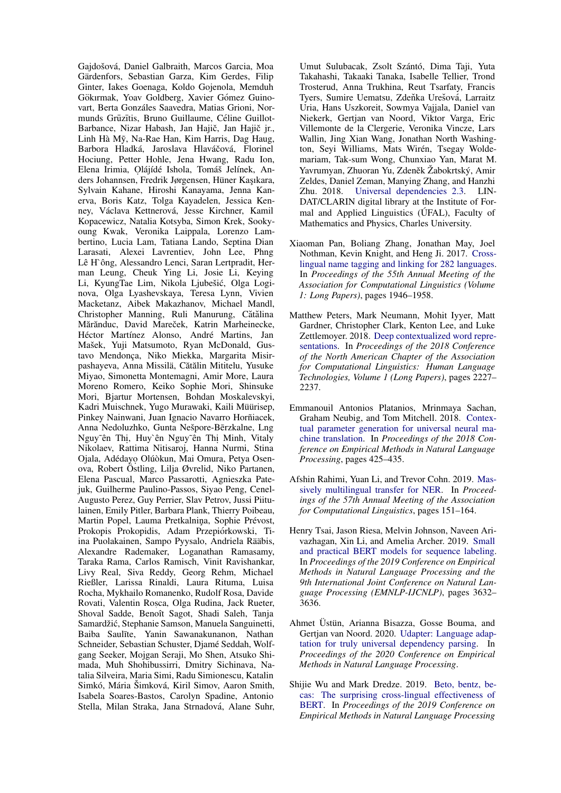Gaidošová, Daniel Galbraith, Marcos Garcia, Moa Gärdenfors, Sebastian Garza, Kim Gerdes, Filip Ginter, Iakes Goenaga, Koldo Gojenola, Memduh Gökırmak, Yoav Goldberg, Xavier Gómez Guinovart, Berta Gonzáles Saavedra, Matias Grioni, Normunds Grūzītis, Bruno Guillaume, Céline Guillot-Barbance, Nizar Habash, Jan Hajič, Jan Hajič jr., Linh Hà Mỹ, Na-Rae Han, Kim Harris, Dag Haug, Barbora Hladká, Jaroslava Hlaváčová, Florinel Hociung, Petter Hohle, Jena Hwang, Radu Ion, Elena Irimia, Olájídé Ishola, Tomáš Jelínek, Anders Johannsen, Fredrik Jørgensen, Hüner Kaşıkara, Sylvain Kahane, Hiroshi Kanayama, Jenna Kanerva, Boris Katz, Tolga Kayadelen, Jessica Kenney, Václava Kettnerová, Jesse Kirchner, Kamil Kopacewicz, Natalia Kotsyba, Simon Krek, Sookyoung Kwak, Veronika Laippala, Lorenzo Lambertino, Lucia Lam, Tatiana Lando, Septina Dian Larasati, Alexei Lavrentiev, John Lee, Phng Lê H`ông, Alessandro Lenci, Saran Lertpradit, Herman Leung, Cheuk Ying Li, Josie Li, Keying Li, KyungTae Lim, Nikola Ljubešić, Olga Loginova, Olga Lyashevskaya, Teresa Lynn, Vivien Macketanz, Aibek Makazhanov, Michael Mandl, Christopher Manning, Ruli Manurung, Cătălina Mărănduc, David Mareček, Katrin Marheinecke, Héctor Martínez Alonso, André Martins, Jan Mašek, Yuji Matsumoto, Ryan McDonald, Gustavo Mendonça, Niko Miekka, Margarita Misirpashayeva, Anna Missilä, Cătălin Mititelu, Yusuke Miyao, Simonetta Montemagni, Amir More, Laura Moreno Romero, Keiko Sophie Mori, Shinsuke Mori, Bjartur Mortensen, Bohdan Moskalevskyi, Kadri Muischnek, Yugo Murawaki, Kaili Müürisep, Pinkey Nainwani, Juan Ignacio Navarro Horñiacek, Anna Nedoluzhko, Gunta Nešpore-Bērzkalne, Lng Nguy ên Thị, Huy ên Nguy ên Thị Minh, Vitaly Nikolaev, Rattima Nitisaroj, Hanna Nurmi, Stina Ojala, Adédayo Olúòkun, Mai Omura, Petya Osenova, Robert Östling, Lilja Øvrelid, Niko Partanen, Elena Pascual, Marco Passarotti, Agnieszka Patejuk, Guilherme Paulino-Passos, Siyao Peng, Cenel-Augusto Perez, Guy Perrier, Slav Petrov, Jussi Piitulainen, Emily Pitler, Barbara Plank, Thierry Poibeau, Martin Popel, Lauma Pretkalnina, Sophie Prévost, Prokopis Prokopidis, Adam Przepiórkowski, Tiina Puolakainen, Sampo Pyysalo, Andriela Rääbis, Alexandre Rademaker, Loganathan Ramasamy, Taraka Rama, Carlos Ramisch, Vinit Ravishankar, Livy Real, Siva Reddy, Georg Rehm, Michael Rießler, Larissa Rinaldi, Laura Rituma, Luisa Rocha, Mykhailo Romanenko, Rudolf Rosa, Davide Rovati, Valentin Roșca, Olga Rudina, Jack Rueter, Shoval Sadde, Benoît Sagot, Shadi Saleh, Tanja Samardžić, Stephanie Samson, Manuela Sanguinetti, Baiba Saulīte, Yanin Sawanakunanon, Nathan Schneider, Sebastian Schuster, Djamé Seddah, Wolfgang Seeker, Mojgan Seraji, Mo Shen, Atsuko Shimada, Muh Shohibussirri, Dmitry Sichinava, Natalia Silveira, Maria Simi, Radu Simionescu, Katalin Simkó, Mária Šimková, Kiril Simov, Aaron Smith, Isabela Soares-Bastos, Carolyn Spadine, Antonio Stella, Milan Straka, Jana Strnadová, Alane Suhr,

Umut Sulubacak, Zsolt Szántó, Dima Taii, Yuta Takahashi, Takaaki Tanaka, Isabelle Tellier, Trond Trosterud, Anna Trukhina, Reut Tsarfaty, Francis Tyers, Sumire Uematsu, Zdeňka Urešová, Larraitz Uria, Hans Uszkoreit, Sowmya Vajjala, Daniel van Niekerk, Gertjan van Noord, Viktor Varga, Eric Villemonte de la Clergerie, Veronika Vincze, Lars Wallin, Jing Xian Wang, Jonathan North Washington, Seyi Williams, Mats Wirén, Tsegay Woldemariam, Tak-sum Wong, Chunxiao Yan, Marat M. Yavrumyan, Zhuoran Yu, Zdeněk Žabokrtský, Amir Zeldes, Daniel Zeman, Manying Zhang, and Hanzhi Zhu. 2018. Universal dependencies 2.3. LIN-DAT/CLARIN digital library at the Institute of Formal and Applied Linguistics (ÚFAL), Faculty of Mathematics and Physics, Charles University.

- <span id="page-3-6"></span>Xiaoman Pan, Boliang Zhang, Jonathan May, Joel Nothman, Kevin Knight, and Heng Ji, 2017. Crosslingual name tagging and linking for 282 languages. In Proceedings of the 55th Annual Meeting of the **Association for Computational Linguistics (Volume** 1: Long Papers), pages 1946-1958.
- <span id="page-3-4"></span>Matthew Peters, Mark Neumann, Mohit Iyyer, Matt Gardner, Christopher Clark, Kenton Lee, and Luke Zettlemoyer. 2018. Deep contextualized word representations. In Proceedings of the 2018 Conference of the North American Chapter of the Association for Computational Linguistics: Human Language Technologies, Volume 1 (Long Papers), pages 2227– 2237.
- <span id="page-3-5"></span>Emmanouil Antonios Platanios, Mrinmaya Sachan, Graham Neubig, and Tom Mitchell. 2018. Contextual parameter generation for universal neural machine translation. In Proceedings of the 2018 Conference on Empirical Methods in Natural Language Processing, pages 425–435.
- <span id="page-3-0"></span>Afshin Rahimi, Yuan Li, and Trevor Cohn. 2019. Massively multilingual transfer for NER. In Proceedings of the 57th Annual Meeting of the Association for Computational Linguistics, pages 151-164.
- <span id="page-3-1"></span>Henry Tsai, Jason Riesa, Melvin Johnson, Naveen Arivazhagan, Xin Li, and Amelia Archer. 2019. Small and practical BERT models for sequence labeling. In Proceedings of the 2019 Conference on Empirical Methods in Natural Language Processing and the 9th International Joint Conference on Natural Language Processing (EMNLP-IJCNLP), pages 3632-3636.
- <span id="page-3-2"></span>Ahmet Üstün, Arianna Bisazza, Gosse Bouma, and Gertjan van Noord. 2020. Udapter: Language adaptation for truly universal dependency parsing. In Proceedings of the 2020 Conference on Empirical Methods in Natural Language Processing.
- <span id="page-3-3"></span>Shijie Wu and Mark Dredze. 2019. Beto, bentz, becas: The surprising cross-lingual effectiveness of BERT. In Proceedings of the 2019 Conference on **Empirical Methods in Natural Language Processing**